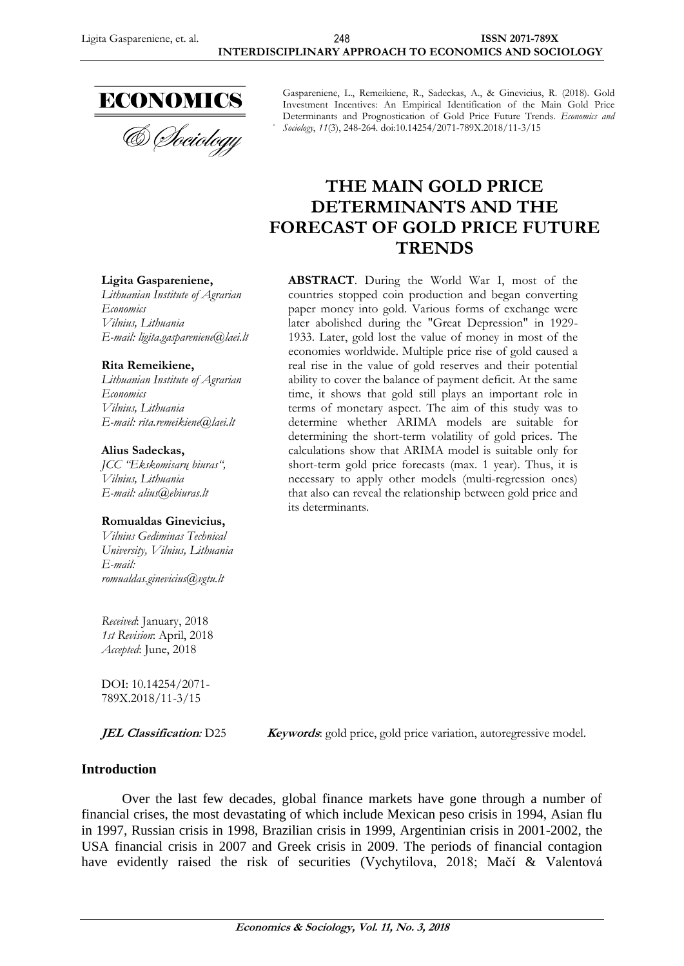

Gaspareniene, L., Remeikiene, R., Sadeckas, A., & Ginevicius, R. (2018). Gold Investment Incentives: An Empirical Identification of the Main Gold Price Determinants and Prognostication of Gold Price Future Trends. *Economics and Sociology*, *11*(3), 248-264. doi:10.14254/2071-789X.2018/11-3/15

# **THE MAIN GOLD PRICE DETERMINANTS AND THE FORECAST OF GOLD PRICE FUTURE TRENDS**

#### **ABSTRACT**. During the World War I, most of the countries stopped coin production and began converting paper money into gold. Various forms of exchange were later abolished during the "Great Depression" in 1929- 1933. Later, gold lost the value of money in most of the economies worldwide. Multiple price rise of gold caused a real rise in the value of gold reserves and their potential ability to cover the balance of payment deficit. At the same time, it shows that gold still plays an important role in terms of monetary aspect. The aim of this study was to determine whether ARIMA models are suitable for determining the short-term volatility of gold prices. The calculations show that ARIMA model is suitable only for short-term gold price forecasts (max. 1 year). Thus, it is necessary to apply other models (multi-regression ones) that also can reveal the relationship between gold price and its determinants.

#### **Ligita Gaspareniene,**

*Lithuanian Institute of Agrarian Economics [Vilnius,](https://en.wikipedia.org/wiki/Podgorica) Lithuania E-mail: ligita.gaspareniene@laei.lt*

#### **Rita Remeikiene,**

*Lithuanian Institute of Agrarian Economics [Vilnius,](https://en.wikipedia.org/wiki/Podgorica) Lithuania E-mail: rita.remeikiene@laei.lt*

#### **Alius Sadeckas,**

*JCC "Ekskomisarų biuras", Vilnius, Lithuania E-mail: alius@ebiuras.lt*

#### **Romualdas Ginevicius,**

*Vilnius Gediminas Technical University, Vilnius, Lithuania E-mail: romualdas.ginevicius@vgtu.lt*

*Received*: January, 2018 *1st Revision*: April, 2018 *Accepted*: June, 2018

DOI: 10.14254/2071- 789X.2018/11-3/15

**JEL Classification**: D25 **Keywords**: gold price, gold price variation, autoregressive model.

## **Introduction**

Over the last few decades, global finance markets have gone through a number of financial crises, the most devastating of which include Mexican peso crisis in 1994, Asian flu in 1997, Russian crisis in 1998, Brazilian crisis in 1999, Argentinian crisis in 2001-2002, the USA financial crisis in 2007 and Greek crisis in 2009. The periods of financial contagion have evidently raised the risk of securities (Vychytilova, 2018; Mačí & Valentová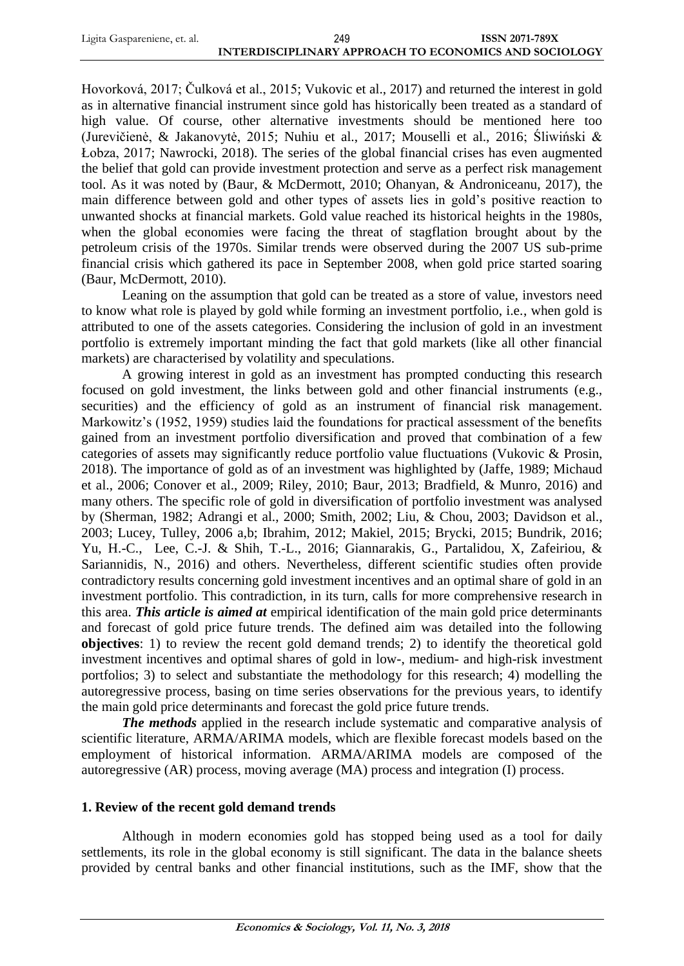| Ligita Gaspareniene, et. al. | 249                                                   | <b>ISSN 2071-789X</b> |
|------------------------------|-------------------------------------------------------|-----------------------|
|                              | INTERDISCIPLINARY APPROACH TO ECONOMICS AND SOCIOLOGY |                       |

Hovorková, 2017; Čulková et al., 2015; Vukovic et al., 2017) and returned the interest in gold as in alternative financial instrument since gold has historically been treated as a standard of high value. Of course, other alternative investments should be mentioned here too (Jurevičienė, & Jakanovytė, 2015; Nuhiu et al., 2017; Mouselli et al., 2016; Śliwiński & Łobza, 2017; Nawrocki, 2018). The series of the global financial crises has even augmented the belief that gold can provide investment protection and serve as a perfect risk management tool. As it was noted by (Baur, & McDermott, 2010; Ohanyan, & Androniceanu, 2017), the main difference between gold and other types of assets lies in gold's positive reaction to unwanted shocks at financial markets. Gold value reached its historical heights in the 1980s, when the global economies were facing the threat of stagflation brought about by the petroleum crisis of the 1970s. Similar trends were observed during the 2007 US sub-prime financial crisis which gathered its pace in September 2008, when gold price started soaring (Baur, McDermott, 2010).

Leaning on the assumption that gold can be treated as a store of value, investors need to know what role is played by gold while forming an investment portfolio, i.e., when gold is attributed to one of the assets categories. Considering the inclusion of gold in an investment portfolio is extremely important minding the fact that gold markets (like all other financial markets) are characterised by volatility and speculations.

A growing interest in gold as an investment has prompted conducting this research focused on gold investment, the links between gold and other financial instruments (e.g., securities) and the efficiency of gold as an instrument of financial risk management. Markowitz's (1952, 1959) studies laid the foundations for practical assessment of the benefits gained from an investment portfolio diversification and proved that combination of a few categories of assets may significantly reduce portfolio value fluctuations (Vukovic & Prosin, 2018). The importance of gold as of an investment was highlighted by (Jaffe, 1989; Michaud et al., 2006; Conover et al., 2009; Riley, 2010; Baur, 2013; Bradfield, & Munro, 2016) and many others. The specific role of gold in diversification of portfolio investment was analysed by (Sherman, 1982; Adrangi et al., 2000; Smith, 2002; Liu, & Chou, 2003; Davidson et al., 2003; Lucey, Tulley, 2006 a,b; Ibrahim, 2012; Makiel, 2015; Brycki, 2015; Bundrik, 2016; Yu, H.-C., Lee, C.-J. & Shih, T.-L., 2016; Giannarakis, G., Partalidou, X, Zafeiriou, & Sariannidis, N., 2016) and others. Nevertheless, different scientific studies often provide contradictory results concerning gold investment incentives and an optimal share of gold in an investment portfolio. This contradiction, in its turn, calls for more comprehensive research in this area. *This article is aimed at* empirical identification of the main gold price determinants and forecast of gold price future trends. The defined aim was detailed into the following **objectives**: 1) to review the recent gold demand trends; 2) to identify the theoretical gold investment incentives and optimal shares of gold in low-, medium- and high-risk investment portfolios; 3) to select and substantiate the methodology for this research; 4) modelling the autoregressive process, basing on time series observations for the previous years, to identify the main gold price determinants and forecast the gold price future trends.

*The methods* applied in the research include systematic and comparative analysis of scientific literature, ARMA/ARIMA models, which are flexible forecast models based on the employment of historical information. ARMA/ARIMA models are composed of the autoregressive (AR) process, moving average (MA) process and integration (I) process.

## **1. Review of the recent gold demand trends**

Although in modern economies gold has stopped being used as a tool for daily settlements, its role in the global economy is still significant. The data in the balance sheets provided by central banks and other financial institutions, such as the IMF, show that the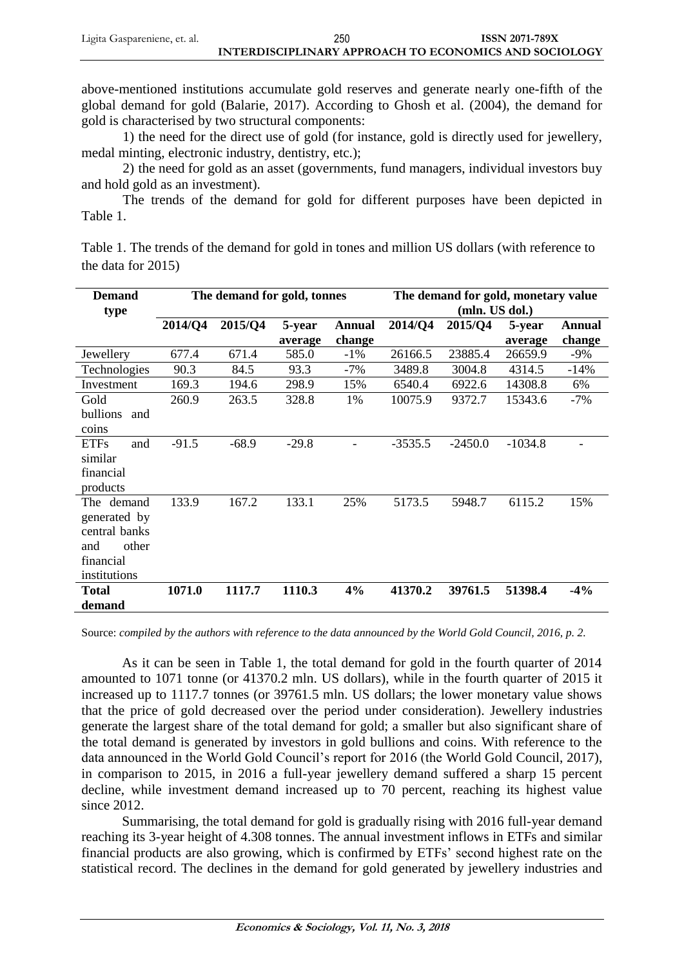above-mentioned institutions accumulate gold reserves and generate nearly one-fifth of the global demand for gold (Balarie, 2017). According to Ghosh et al. (2004), the demand for gold is characterised by two structural components:

1) the need for the direct use of gold (for instance, gold is directly used for jewellery, medal minting, electronic industry, dentistry, etc.);

2) the need for gold as an asset (governments, fund managers, individual investors buy and hold gold as an investment).

The trends of the demand for gold for different purposes have been depicted in Table 1.

Table 1. The trends of the demand for gold in tones and million US dollars (with reference to the data for 2015)

| <b>Demand</b><br>type                                                                    | The demand for gold, tonnes |         |                   | The demand for gold, monetary value<br>(mln. US dol.) |           |           |                   |                         |
|------------------------------------------------------------------------------------------|-----------------------------|---------|-------------------|-------------------------------------------------------|-----------|-----------|-------------------|-------------------------|
|                                                                                          | 2014/Q4                     | 2015/Q4 | 5-year<br>average | <b>Annual</b><br>change                               | 2014/Q4   | 2015/Q4   | 5-year<br>average | <b>Annual</b><br>change |
| Jewellery                                                                                | 677.4                       | 671.4   | 585.0             | $-1\%$                                                | 26166.5   | 23885.4   | 26659.9           | $-9\%$                  |
| Technologies                                                                             | 90.3                        | 84.5    | 93.3              | $-7%$                                                 | 3489.8    | 3004.8    | 4314.5            | $-14%$                  |
| Investment                                                                               | 169.3                       | 194.6   | 298.9             | 15%                                                   | 6540.4    | 6922.6    | 14308.8           | 6%                      |
| Gold<br>bullions<br>and<br>coins                                                         | 260.9                       | 263.5   | 328.8             | 1%                                                    | 10075.9   | 9372.7    | 15343.6           | $-7\%$                  |
| <b>ETFs</b><br>and<br>similar<br>financial<br>products                                   | $-91.5$                     | $-68.9$ | $-29.8$           |                                                       | $-3535.5$ | $-2450.0$ | $-1034.8$         |                         |
| The demand<br>generated by<br>central banks<br>other<br>and<br>financial<br>institutions | 133.9                       | 167.2   | 133.1             | 25%                                                   | 5173.5    | 5948.7    | 6115.2            | 15%                     |
| <b>Total</b><br>demand                                                                   | 1071.0                      | 1117.7  | 1110.3            | 4%                                                    | 41370.2   | 39761.5   | 51398.4           | $-4%$                   |

Source: *compiled by the authors with reference to the data announced by the World Gold Council, 2016, p. 2.*

As it can be seen in Table 1, the total demand for gold in the fourth quarter of 2014 amounted to 1071 tonne (or 41370.2 mln. US dollars), while in the fourth quarter of 2015 it increased up to 1117.7 tonnes (or 39761.5 mln. US dollars; the lower monetary value shows that the price of gold decreased over the period under consideration). Jewellery industries generate the largest share of the total demand for gold; a smaller but also significant share of the total demand is generated by investors in gold bullions and coins. With reference to the data announced in the World Gold Council's report for 2016 (the World Gold Council, 2017), in comparison to 2015, in 2016 a full-year jewellery demand suffered a sharp 15 percent decline, while investment demand increased up to 70 percent, reaching its highest value since 2012.

Summarising, the total demand for gold is gradually rising with 2016 full-year demand reaching its 3-year height of 4.308 tonnes. The annual investment inflows in ETFs and similar financial products are also growing, which is confirmed by ETFs' second highest rate on the statistical record. The declines in the demand for gold generated by jewellery industries and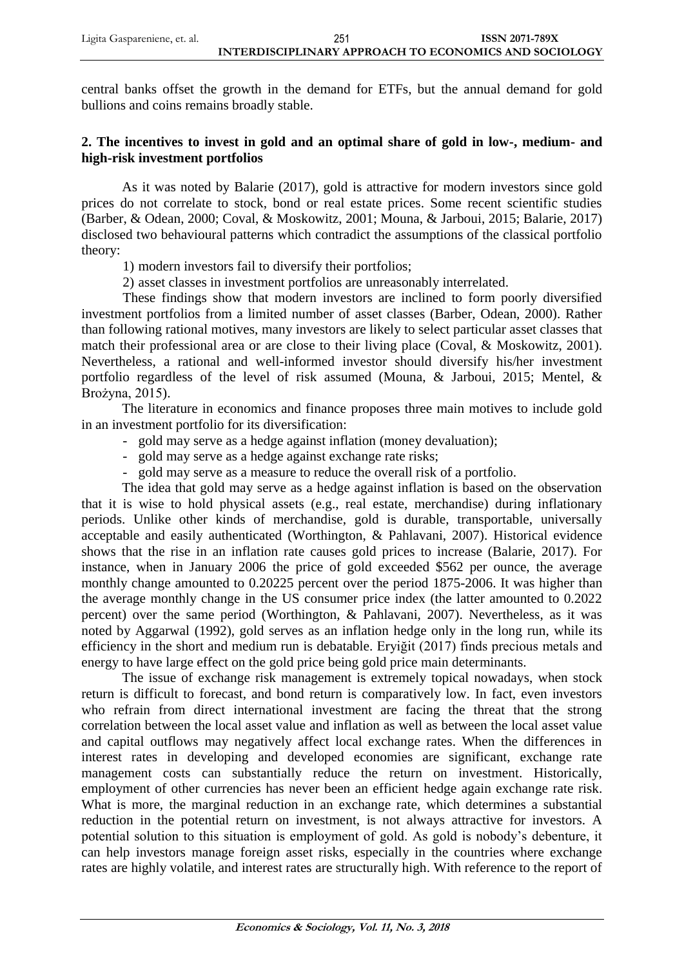central banks offset the growth in the demand for ETFs, but the annual demand for gold bullions and coins remains broadly stable.

# **2. The incentives to invest in gold and an optimal share of gold in low-, medium- and high-risk investment portfolios**

As it was noted by Balarie (2017), gold is attractive for modern investors since gold prices do not correlate to stock, bond or real estate prices. Some recent scientific studies (Barber, & Odean, 2000; Coval, & Moskowitz, 2001; Mouna, & Jarboui, 2015; Balarie, 2017) disclosed two behavioural patterns which contradict the assumptions of the classical portfolio theory:

1) modern investors fail to diversify their portfolios;

2) asset classes in investment portfolios are unreasonably interrelated.

These findings show that modern investors are inclined to form poorly diversified investment portfolios from a limited number of asset classes (Barber, Odean, 2000). Rather than following rational motives, many investors are likely to select particular asset classes that match their professional area or are close to their living place (Coval, & Moskowitz, 2001). Nevertheless, a rational and well-informed investor should diversify his/her investment portfolio regardless of the level of risk assumed (Mouna, & Jarboui, 2015; Mentel, & Brożyna, 2015).

The literature in economics and finance proposes three main motives to include gold in an investment portfolio for its diversification:

- gold may serve as a hedge against inflation (money devaluation);
- gold may serve as a hedge against exchange rate risks;
- gold may serve as a measure to reduce the overall risk of a portfolio.

The idea that gold may serve as a hedge against inflation is based on the observation that it is wise to hold physical assets (e.g., real estate, merchandise) during inflationary periods. Unlike other kinds of merchandise, gold is durable, transportable, universally acceptable and easily authenticated (Worthington, & Pahlavani, 2007). Historical evidence shows that the rise in an inflation rate causes gold prices to increase (Balarie, 2017). For instance, when in January 2006 the price of gold exceeded \$562 per ounce, the average monthly change amounted to 0.20225 percent over the period 1875-2006. It was higher than the average monthly change in the US consumer price index (the latter amounted to 0.2022 percent) over the same period (Worthington, & Pahlavani, 2007). Nevertheless, as it was noted by Aggarwal (1992), gold serves as an inflation hedge only in the long run, while its efficiency in the short and medium run is debatable. Eryiğit (2017) finds precious metals and energy to have large effect on the gold price being gold price main determinants.

The issue of exchange risk management is extremely topical nowadays, when stock return is difficult to forecast, and bond return is comparatively low. In fact, even investors who refrain from direct international investment are facing the threat that the strong correlation between the local asset value and inflation as well as between the local asset value and capital outflows may negatively affect local exchange rates. When the differences in interest rates in developing and developed economies are significant, exchange rate management costs can substantially reduce the return on investment. Historically, employment of other currencies has never been an efficient hedge again exchange rate risk. What is more, the marginal reduction in an exchange rate, which determines a substantial reduction in the potential return on investment, is not always attractive for investors. A potential solution to this situation is employment of gold. As gold is nobody's debenture, it can help investors manage foreign asset risks, especially in the countries where exchange rates are highly volatile, and interest rates are structurally high. With reference to the report of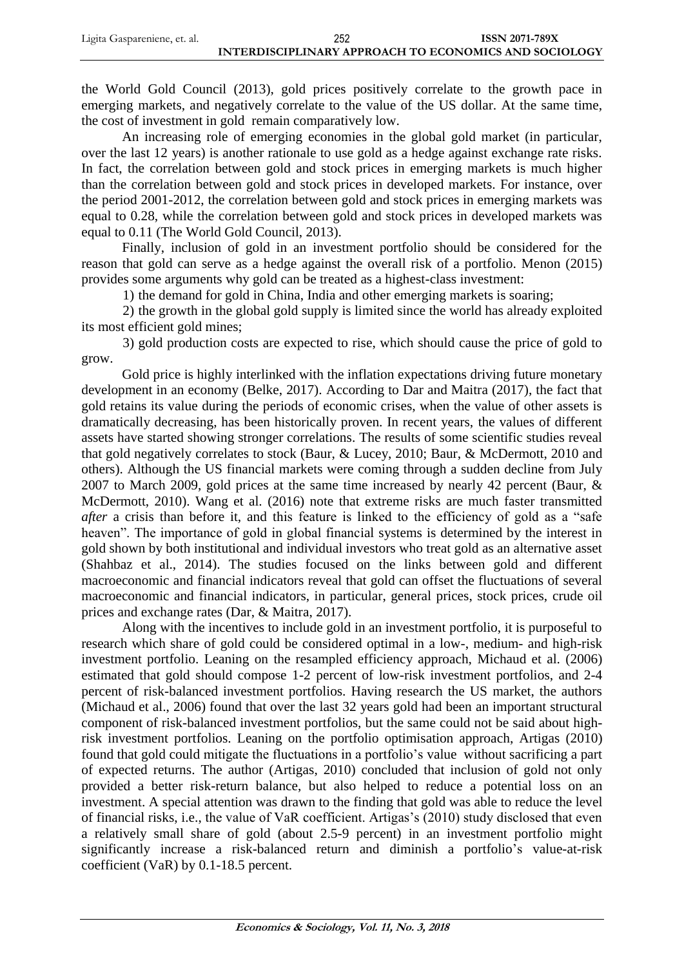the World Gold Council (2013), gold prices positively correlate to the growth pace in emerging markets, and negatively correlate to the value of the US dollar. At the same time, the cost of investment in gold remain comparatively low.

An increasing role of emerging economies in the global gold market (in particular, over the last 12 years) is another rationale to use gold as a hedge against exchange rate risks. In fact, the correlation between gold and stock prices in emerging markets is much higher than the correlation between gold and stock prices in developed markets. For instance, over the period 2001-2012, the correlation between gold and stock prices in emerging markets was equal to 0.28, while the correlation between gold and stock prices in developed markets was equal to 0.11 (The World Gold Council, 2013).

Finally, inclusion of gold in an investment portfolio should be considered for the reason that gold can serve as a hedge against the overall risk of a portfolio. Menon (2015) provides some arguments why gold can be treated as a highest-class investment:

1) the demand for gold in China, India and other emerging markets is soaring;

2) the growth in the global gold supply is limited since the world has already exploited its most efficient gold mines;

3) gold production costs are expected to rise, which should cause the price of gold to grow.

Gold price is highly interlinked with the inflation expectations driving future monetary development in an economy (Belke, 2017). According to Dar and Maitra (2017), the fact that gold retains its value during the periods of economic crises, when the value of other assets is dramatically decreasing, has been historically proven. In recent years, the values of different assets have started showing stronger correlations. The results of some scientific studies reveal that gold negatively correlates to stock (Baur, & Lucey, 2010; Baur, & McDermott, 2010 and others). Although the US financial markets were coming through a sudden decline from July 2007 to March 2009, gold prices at the same time increased by nearly 42 percent (Baur, & McDermott, 2010). Wang et al. (2016) note that extreme risks are much faster transmitted *after* a crisis than before it, and this feature is linked to the efficiency of gold as a "safe heaven". The importance of gold in global financial systems is determined by the interest in gold shown by both institutional and individual investors who treat gold as an alternative asset (Shahbaz et al., 2014). The studies focused on the links between gold and different macroeconomic and financial indicators reveal that gold can offset the fluctuations of several macroeconomic and financial indicators, in particular, general prices, stock prices, crude oil prices and exchange rates (Dar, & Maitra, 2017).

Along with the incentives to include gold in an investment portfolio, it is purposeful to research which share of gold could be considered optimal in a low-, medium- and high-risk investment portfolio. Leaning on the resampled efficiency approach, Michaud et al. (2006) estimated that gold should compose 1-2 percent of low-risk investment portfolios, and 2-4 percent of risk-balanced investment portfolios. Having research the US market, the authors (Michaud et al., 2006) found that over the last 32 years gold had been an important structural component of risk-balanced investment portfolios, but the same could not be said about highrisk investment portfolios. Leaning on the portfolio optimisation approach, Artigas (2010) found that gold could mitigate the fluctuations in a portfolio's value without sacrificing a part of expected returns. The author (Artigas, 2010) concluded that inclusion of gold not only provided a better risk-return balance, but also helped to reduce a potential loss on an investment. A special attention was drawn to the finding that gold was able to reduce the level of financial risks, i.e., the value of VaR coefficient. Artigas's (2010) study disclosed that even a relatively small share of gold (about 2.5-9 percent) in an investment portfolio might significantly increase a risk-balanced return and diminish a portfolio's value-at-risk coefficient (VaR) by 0.1-18.5 percent.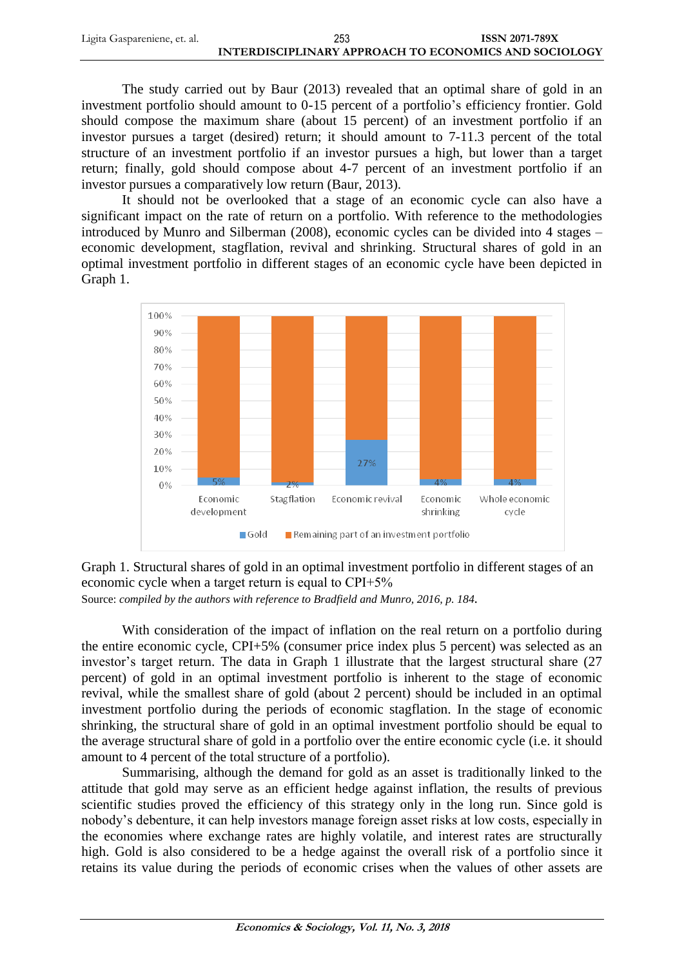| Ligita Gaspareniene, et. al. | 253                                                   | <b>ISSN 2071-789X</b> |
|------------------------------|-------------------------------------------------------|-----------------------|
|                              | INTERDISCIPLINARY APPROACH TO ECONOMICS AND SOCIOLOGY |                       |

The study carried out by Baur (2013) revealed that an optimal share of gold in an investment portfolio should amount to 0-15 percent of a portfolio's efficiency frontier. Gold should compose the maximum share (about 15 percent) of an investment portfolio if an investor pursues a target (desired) return; it should amount to 7-11.3 percent of the total structure of an investment portfolio if an investor pursues a high, but lower than a target return; finally, gold should compose about 4-7 percent of an investment portfolio if an investor pursues a comparatively low return (Baur, 2013).

It should not be overlooked that a stage of an economic cycle can also have a significant impact on the rate of return on a portfolio. With reference to the methodologies introduced by Munro and Silberman (2008), economic cycles can be divided into 4 stages – economic development, stagflation, revival and shrinking. Structural shares of gold in an optimal investment portfolio in different stages of an economic cycle have been depicted in Graph 1.





With consideration of the impact of inflation on the real return on a portfolio during the entire economic cycle, CPI+5% (consumer price index plus 5 percent) was selected as an investor's target return. The data in Graph 1 illustrate that the largest structural share (27 percent) of gold in an optimal investment portfolio is inherent to the stage of economic revival, while the smallest share of gold (about 2 percent) should be included in an optimal investment portfolio during the periods of economic stagflation. In the stage of economic shrinking, the structural share of gold in an optimal investment portfolio should be equal to the average structural share of gold in a portfolio over the entire economic cycle (i.e. it should amount to 4 percent of the total structure of a portfolio).

Summarising, although the demand for gold as an asset is traditionally linked to the attitude that gold may serve as an efficient hedge against inflation, the results of previous scientific studies proved the efficiency of this strategy only in the long run. Since gold is nobody's debenture, it can help investors manage foreign asset risks at low costs, especially in the economies where exchange rates are highly volatile, and interest rates are structurally high. Gold is also considered to be a hedge against the overall risk of a portfolio since it retains its value during the periods of economic crises when the values of other assets are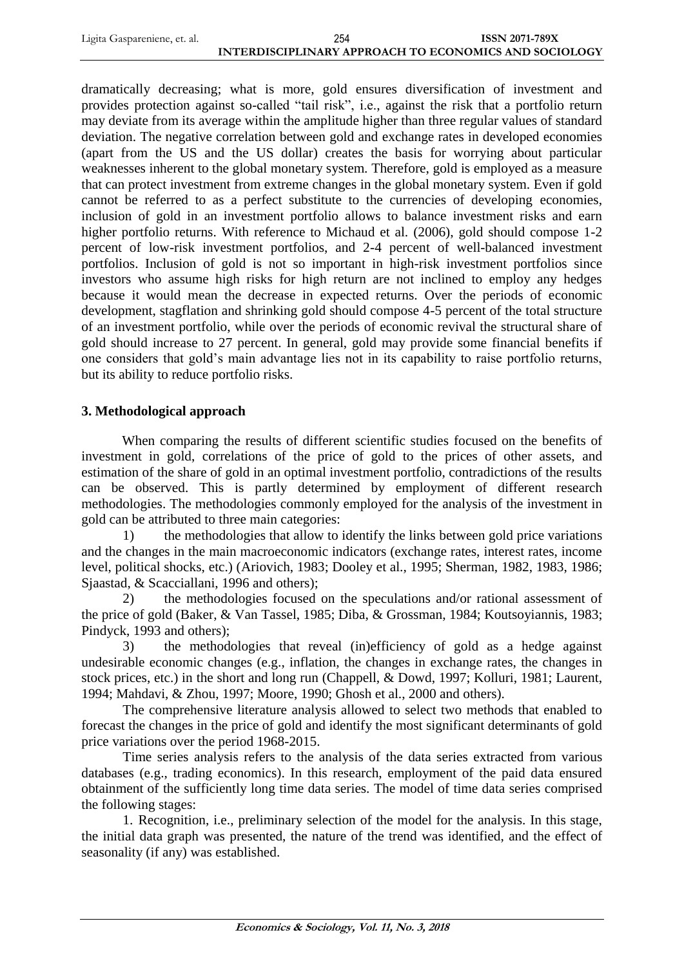| Ligita Gaspareniene, et. al. | 254                                                   | <b>ISSN 2071-789X</b> |
|------------------------------|-------------------------------------------------------|-----------------------|
|                              | INTERDISCIPLINARY APPROACH TO ECONOMICS AND SOCIOLOGY |                       |

dramatically decreasing; what is more, gold ensures diversification of investment and provides protection against so-called "tail risk", i.e., against the risk that a portfolio return may deviate from its average within the amplitude higher than three regular values of standard deviation. The negative correlation between gold and exchange rates in developed economies (apart from the US and the US dollar) creates the basis for worrying about particular weaknesses inherent to the global monetary system. Therefore, gold is employed as a measure that can protect investment from extreme changes in the global monetary system. Even if gold cannot be referred to as a perfect substitute to the currencies of developing economies, inclusion of gold in an investment portfolio allows to balance investment risks and earn higher portfolio returns. With reference to Michaud et al. (2006), gold should compose 1-2 percent of low-risk investment portfolios, and 2-4 percent of well-balanced investment portfolios. Inclusion of gold is not so important in high-risk investment portfolios since investors who assume high risks for high return are not inclined to employ any hedges because it would mean the decrease in expected returns. Over the periods of economic development, stagflation and shrinking gold should compose 4-5 percent of the total structure of an investment portfolio, while over the periods of economic revival the structural share of gold should increase to 27 percent. In general, gold may provide some financial benefits if one considers that gold's main advantage lies not in its capability to raise portfolio returns, but its ability to reduce portfolio risks.

## **3. Methodological approach**

When comparing the results of different scientific studies focused on the benefits of investment in gold, correlations of the price of gold to the prices of other assets, and estimation of the share of gold in an optimal investment portfolio, contradictions of the results can be observed. This is partly determined by employment of different research methodologies. The methodologies commonly employed for the analysis of the investment in gold can be attributed to three main categories:

1) the methodologies that allow to identify the links between gold price variations and the changes in the main macroeconomic indicators (exchange rates, interest rates, income level, political shocks, etc.) (Ariovich, 1983; Dooley et al., 1995; Sherman, 1982, 1983, 1986; Sjaastad, & Scacciallani, 1996 and others);

2) the methodologies focused on the speculations and/or rational assessment of the price of gold (Baker, & Van Tassel, 1985; Diba, & Grossman, 1984; Koutsoyiannis, 1983; Pindyck, 1993 and others);

3) the methodologies that reveal (in)efficiency of gold as a hedge against undesirable economic changes (e.g., inflation, the changes in exchange rates, the changes in stock prices, etc.) in the short and long run (Chappell, & Dowd, 1997; Kolluri, 1981; Laurent, 1994; Mahdavi, & Zhou, 1997; Moore, 1990; Ghosh et al., 2000 and others).

The comprehensive literature analysis allowed to select two methods that enabled to forecast the changes in the price of gold and identify the most significant determinants of gold price variations over the period 1968-2015.

Time series analysis refers to the analysis of the data series extracted from various databases (e.g., trading economics). In this research, employment of the paid data ensured obtainment of the sufficiently long time data series. The model of time data series comprised the following stages:

1. Recognition, i.e., preliminary selection of the model for the analysis. In this stage, the initial data graph was presented, the nature of the trend was identified, and the effect of seasonality (if any) was established.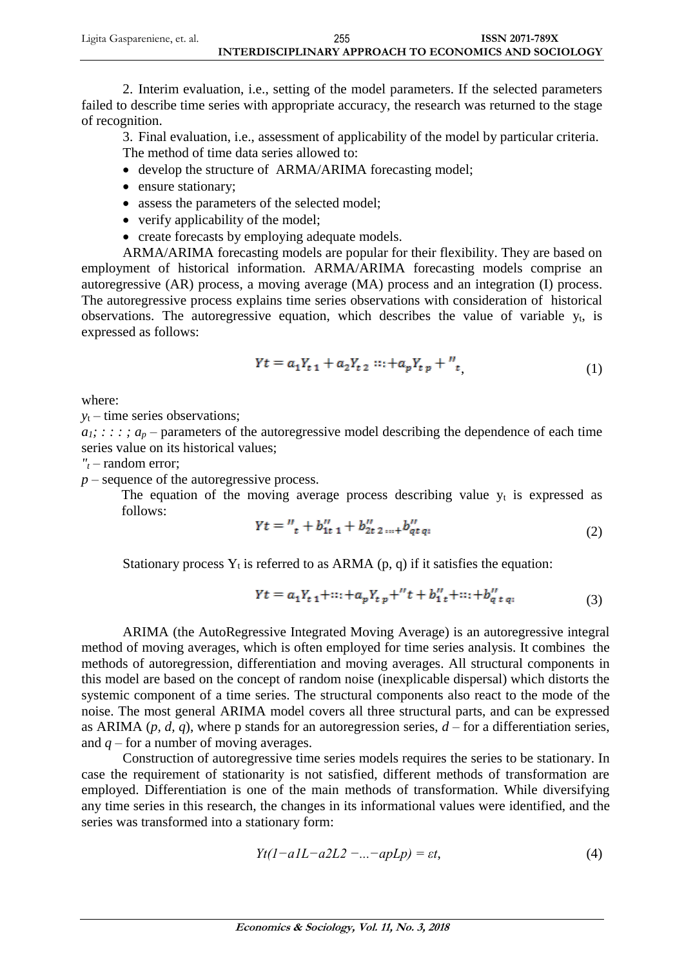| Ligita Gaspareniene, et. al. | 255                                                   | <b>ISSN 2071-789X</b> |
|------------------------------|-------------------------------------------------------|-----------------------|
|                              | INTERDISCIPLINARY APPROACH TO ECONOMICS AND SOCIOLOGY |                       |

2. Interim evaluation, i.e., setting of the model parameters. If the selected parameters failed to describe time series with appropriate accuracy, the research was returned to the stage of recognition.

3. Final evaluation, i.e., assessment of applicability of the model by particular criteria. The method of time data series allowed to:

- develop the structure of ARMA/ARIMA forecasting model;
- ensure stationary;
- assess the parameters of the selected model;
- verify applicability of the model;
- create forecasts by employing adequate models.

ARMA/ARIMA forecasting models are popular for their flexibility. They are based on employment of historical information. ARMA/ARIMA forecasting models comprise an autoregressive (AR) process, a moving average (MA) process and an integration (I) process. The autoregressive process explains time series observations with consideration of historical observations. The autoregressive equation, which describes the value of variable  $y_t$ , is expressed as follows:

$$
Yt = a_1 Y_{t 1} + a_2 Y_{t 2} \cdots + a_p Y_{t p} + \cdots,
$$
\n<sup>(1)</sup>

where:

*y*<sup>t</sup> – time series observations;

 $a_1$ ; : : : ;  $a_p$  – parameters of the autoregressive model describing the dependence of each time series value on its historical values;

*"<sup>t</sup>* – random error;

*p* – sequence of the autoregressive process.

The equation of the moving average process describing value  $y_t$  is expressed as follows:

$$
Yt = \frac{W_t}{t} + b_{1t}^H \frac{1}{t} + b_{2t}^H \frac{1}{2} \dots + b_{qt}^H \frac{1}{q}t
$$
 (2)

Stationary process  $Y_t$  is referred to as ARMA (p, q) if it satisfies the equation:

$$
Yt = a_1 Y_{t 1} + \dots + a_p Y_{t p} +'' t + b_1''_t + \dots + b_q''_{t q}, \tag{3}
$$

ARIMA (the AutoRegressive Integrated Moving Average) is an autoregressive integral method of moving averages, which is often employed for time series analysis. It combines the methods of autoregression, differentiation and moving averages. All structural components in this model are based on the concept of random noise (inexplicable dispersal) which distorts the systemic component of a time series. The structural components also react to the mode of the noise. The most general ARIMA model covers all three structural parts, and can be expressed as ARIMA  $(p, d, q)$ , where p stands for an autoregression series,  $d$  – for a differentiation series, and  $q$  – for a number of moving averages.

Construction of autoregressive time series models requires the series to be stationary. In case the requirement of stationarity is not satisfied, different methods of transformation are employed. Differentiation is one of the main methods of transformation. While diversifying any time series in this research, the changes in its informational values were identified, and the series was transformed into a stationary form:

$$
Yt(1-a1L-a2L2-...-apLp) = \varepsilon t,\tag{4}
$$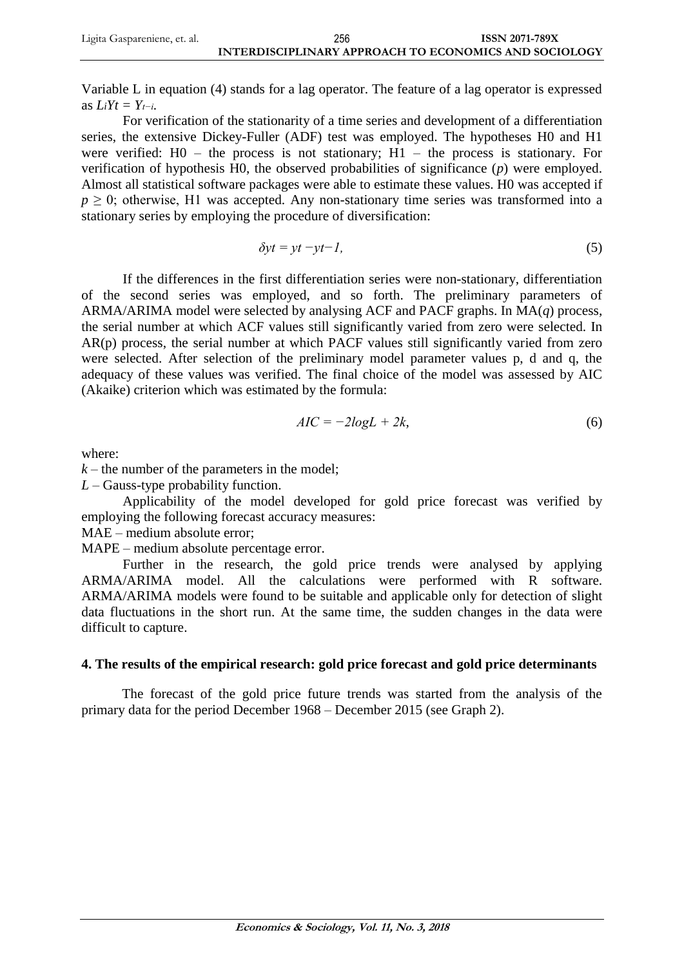Variable L in equation (4) stands for a lag operator. The feature of a lag operator is expressed as  $LiYt = Y_{t-i}$ .

For verification of the stationarity of a time series and development of a differentiation series, the extensive Dickey-Fuller (ADF) test was employed. The hypotheses H0 and H1 were verified:  $H0 -$  the process is not stationary;  $H1 -$  the process is stationary. For verification of hypothesis H0, the observed probabilities of significance (*p*) were employed. Almost all statistical software packages were able to estimate these values. H0 was accepted if  $p \geq 0$ ; otherwise, H1 was accepted. Any non-stationary time series was transformed into a stationary series by employing the procedure of diversification:

$$
\delta y t = y t - y t - l,\tag{5}
$$

If the differences in the first differentiation series were non-stationary, differentiation of the second series was employed, and so forth. The preliminary parameters of ARMA/ARIMA model were selected by analysing ACF and PACF graphs. In MA(*q*) process, the serial number at which ACF values still significantly varied from zero were selected. In AR(p) process, the serial number at which PACF values still significantly varied from zero were selected. After selection of the preliminary model parameter values p, d and q, the adequacy of these values was verified. The final choice of the model was assessed by AIC (Akaike) criterion which was estimated by the formula:

$$
AIC = -2logL + 2k,\tag{6}
$$

where:

 $k$  – the number of the parameters in the model;

*L* – Gauss-type probability function.

Applicability of the model developed for gold price forecast was verified by employing the following forecast accuracy measures:

MAE – medium absolute error;

MAPE – medium absolute percentage error.

Further in the research, the gold price trends were analysed by applying ARMA/ARIMA model. All the calculations were performed with R software. ARMA/ARIMA models were found to be suitable and applicable only for detection of slight data fluctuations in the short run. At the same time, the sudden changes in the data were difficult to capture.

# **4. The results of the empirical research: gold price forecast and gold price determinants**

The forecast of the gold price future trends was started from the analysis of the primary data for the period December 1968 – December 2015 (see Graph 2).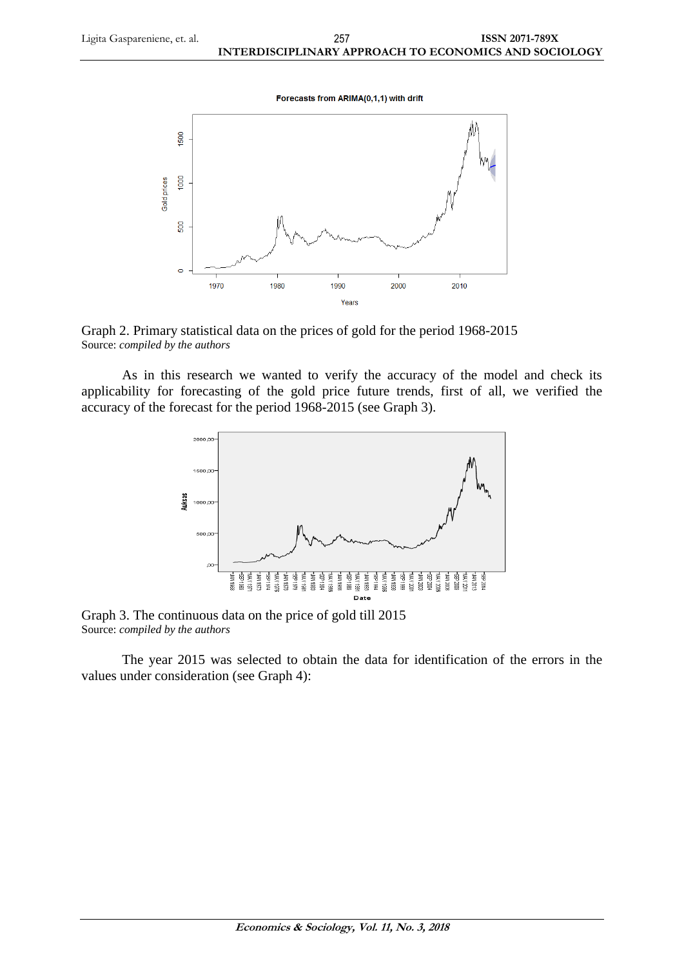Forecasts from ARIMA(0,1,1) with drift



Graph 2. Primary statistical data on the prices of gold for the period 1968-2015 Source: *compiled by the authors*

As in this research we wanted to verify the accuracy of the model and check its applicability for forecasting of the gold price future trends, first of all, we verified the accuracy of the forecast for the period 1968-2015 (see Graph 3).



Graph 3. The continuous data on the price of gold till 2015 Source: *compiled by the authors*

The year 2015 was selected to obtain the data for identification of the errors in the values under consideration (see Graph 4):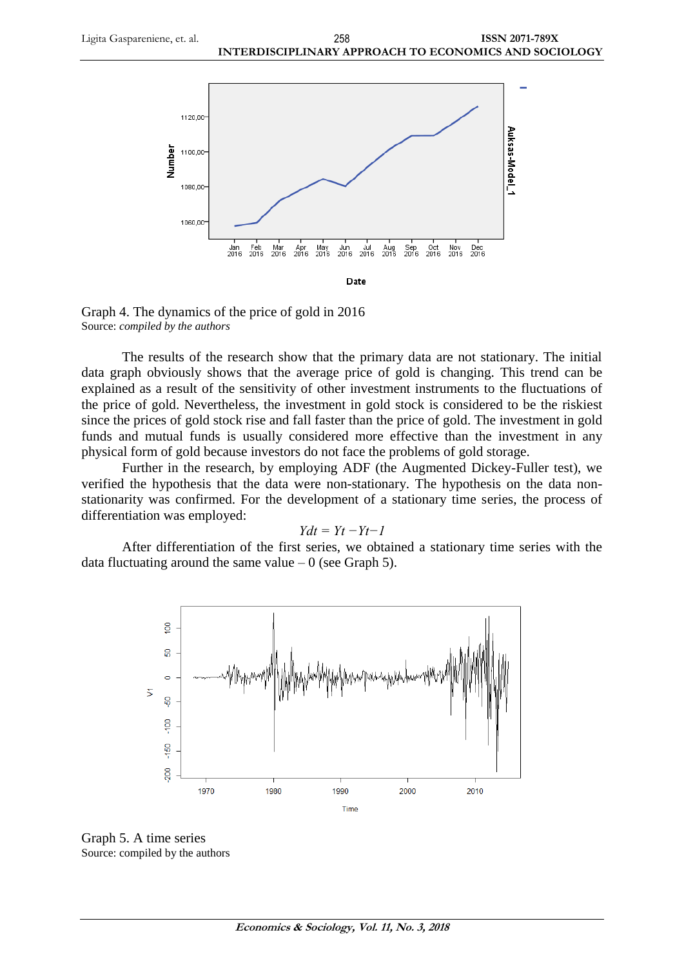

Graph 4. The dynamics of the price of gold in 2016 Source: *compiled by the authors*

The results of the research show that the primary data are not stationary. The initial data graph obviously shows that the average price of gold is changing. This trend can be explained as a result of the sensitivity of other investment instruments to the fluctuations of the price of gold. Nevertheless, the investment in gold stock is considered to be the riskiest since the prices of gold stock rise and fall faster than the price of gold. The investment in gold funds and mutual funds is usually considered more effective than the investment in any physical form of gold because investors do not face the problems of gold storage.

Further in the research, by employing ADF (the Augmented Dickey-Fuller test), we verified the hypothesis that the data were non-stationary. The hypothesis on the data nonstationarity was confirmed. For the development of a stationary time series, the process of differentiation was employed:

#### *Ydt = Yt −Yt−1*

After differentiation of the first series, we obtained a stationary time series with the data fluctuating around the same value  $-0$  (see Graph 5).



Graph 5. A time series Source: compiled by the authors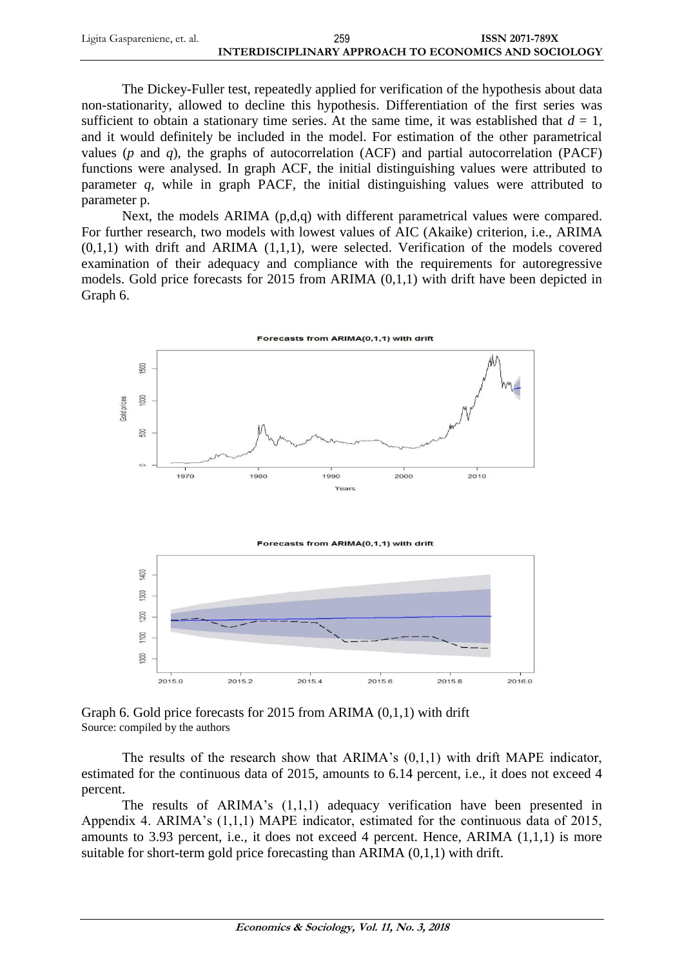| Ligita Gaspareniene, et. al. | 259                                                   | <b>ISSN 2071-789X</b> |
|------------------------------|-------------------------------------------------------|-----------------------|
|                              | INTERDISCIPLINARY APPROACH TO ECONOMICS AND SOCIOLOGY |                       |

The Dickey-Fuller test, repeatedly applied for verification of the hypothesis about data non-stationarity, allowed to decline this hypothesis. Differentiation of the first series was sufficient to obtain a stationary time series. At the same time, it was established that  $d = 1$ , and it would definitely be included in the model. For estimation of the other parametrical values (*p* and *q*), the graphs of autocorrelation (ACF) and partial autocorrelation (PACF) functions were analysed. In graph ACF, the initial distinguishing values were attributed to parameter *q*, while in graph PACF, the initial distinguishing values were attributed to parameter p.

Next, the models ARIMA (p,d,q) with different parametrical values were compared. For further research, two models with lowest values of AIC (Akaike) criterion, i.e., ARIMA  $(0,1,1)$  with drift and ARIMA  $(1,1,1)$ , were selected. Verification of the models covered examination of their adequacy and compliance with the requirements for autoregressive models. Gold price forecasts for 2015 from ARIMA (0,1,1) with drift have been depicted in Graph 6.





Graph 6. Gold price forecasts for 2015 from ARIMA (0,1,1) with drift Source: compiled by the authors

The results of the research show that ARIMA's (0,1,1) with drift MAPE indicator, estimated for the continuous data of 2015, amounts to 6.14 percent, i.e., it does not exceed 4 percent.

The results of ARIMA's (1,1,1) adequacy verification have been presented in Appendix 4. ARIMA's (1,1,1) MAPE indicator, estimated for the continuous data of 2015, amounts to 3.93 percent, i.e., it does not exceed 4 percent. Hence, ARIMA (1,1,1) is more suitable for short-term gold price forecasting than ARIMA (0,1,1) with drift.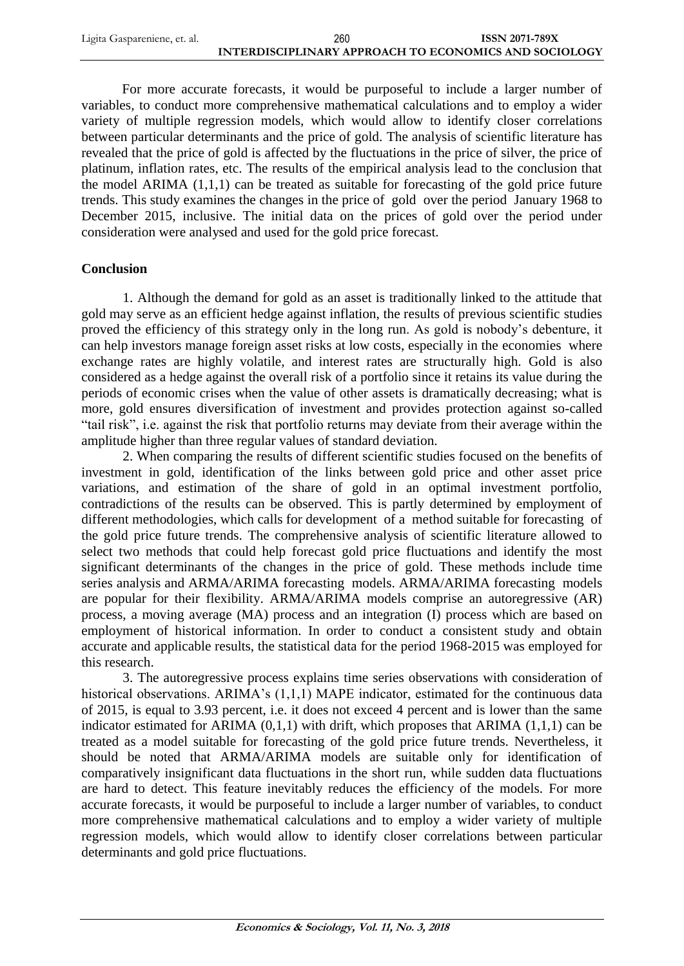| Ligita Gaspareniene, et. al. | 260                                                   | <b>ISSN 2071-789X</b> |
|------------------------------|-------------------------------------------------------|-----------------------|
|                              | INTERDISCIPLINARY APPROACH TO ECONOMICS AND SOCIOLOGY |                       |

For more accurate forecasts, it would be purposeful to include a larger number of variables, to conduct more comprehensive mathematical calculations and to employ a wider variety of multiple regression models, which would allow to identify closer correlations between particular determinants and the price of gold. The analysis of scientific literature has revealed that the price of gold is affected by the fluctuations in the price of silver, the price of platinum, inflation rates, etc. The results of the empirical analysis lead to the conclusion that the model ARIMA (1,1,1) can be treated as suitable for forecasting of the gold price future trends. This study examines the changes in the price of gold over the period January 1968 to December 2015, inclusive. The initial data on the prices of gold over the period under consideration were analysed and used for the gold price forecast.

# **Conclusion**

1. Although the demand for gold as an asset is traditionally linked to the attitude that gold may serve as an efficient hedge against inflation, the results of previous scientific studies proved the efficiency of this strategy only in the long run. As gold is nobody's debenture, it can help investors manage foreign asset risks at low costs, especially in the economies where exchange rates are highly volatile, and interest rates are structurally high. Gold is also considered as a hedge against the overall risk of a portfolio since it retains its value during the periods of economic crises when the value of other assets is dramatically decreasing; what is more, gold ensures diversification of investment and provides protection against so-called "tail risk", i.e. against the risk that portfolio returns may deviate from their average within the amplitude higher than three regular values of standard deviation.

2. When comparing the results of different scientific studies focused on the benefits of investment in gold, identification of the links between gold price and other asset price variations, and estimation of the share of gold in an optimal investment portfolio, contradictions of the results can be observed. This is partly determined by employment of different methodologies, which calls for development of a method suitable for forecasting of the gold price future trends. The comprehensive analysis of scientific literature allowed to select two methods that could help forecast gold price fluctuations and identify the most significant determinants of the changes in the price of gold. These methods include time series analysis and ARMA/ARIMA forecasting models. ARMA/ARIMA forecasting models are popular for their flexibility. ARMA/ARIMA models comprise an autoregressive (AR) process, a moving average (MA) process and an integration (I) process which are based on employment of historical information. In order to conduct a consistent study and obtain accurate and applicable results, the statistical data for the period 1968-2015 was employed for this research.

3. The autoregressive process explains time series observations with consideration of historical observations. ARIMA's (1,1,1) MAPE indicator, estimated for the continuous data of 2015, is equal to 3.93 percent, i.e. it does not exceed 4 percent and is lower than the same indicator estimated for ARIMA  $(0,1,1)$  with drift, which proposes that ARIMA  $(1,1,1)$  can be treated as a model suitable for forecasting of the gold price future trends. Nevertheless, it should be noted that ARMA/ARIMA models are suitable only for identification of comparatively insignificant data fluctuations in the short run, while sudden data fluctuations are hard to detect. This feature inevitably reduces the efficiency of the models. For more accurate forecasts, it would be purposeful to include a larger number of variables, to conduct more comprehensive mathematical calculations and to employ a wider variety of multiple regression models, which would allow to identify closer correlations between particular determinants and gold price fluctuations.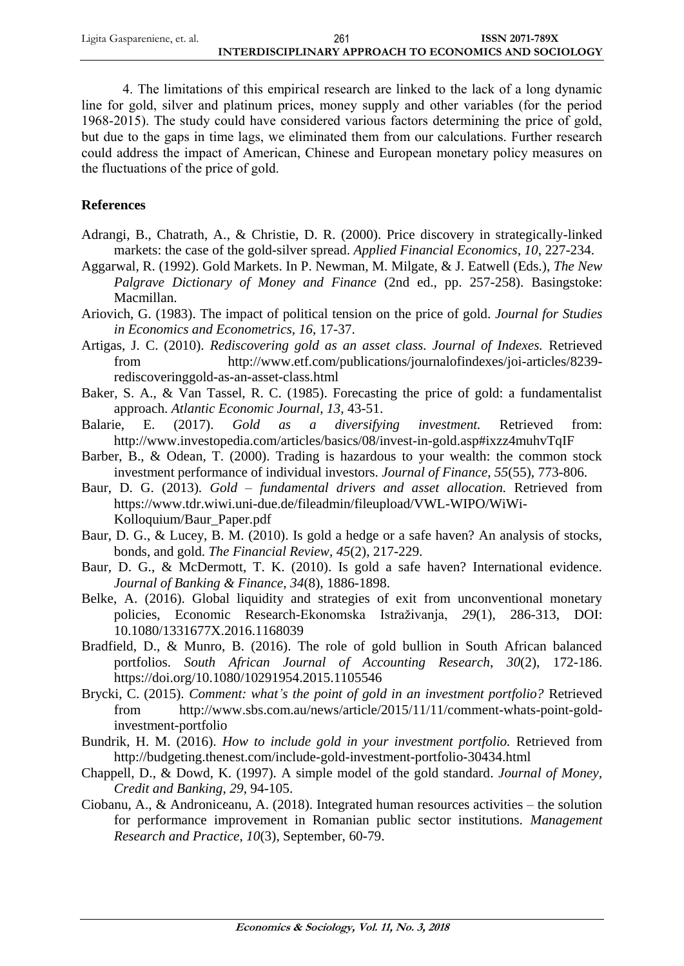| Ligita Gaspareniene, et. al. | 261                                                   | <b>ISSN 2071-789X</b> |
|------------------------------|-------------------------------------------------------|-----------------------|
|                              | INTERDISCIPLINARY APPROACH TO ECONOMICS AND SOCIOLOGY |                       |

4. The limitations of this empirical research are linked to the lack of a long dynamic line for gold, silver and platinum prices, money supply and other variables (for the period 1968-2015). The study could have considered various factors determining the price of gold, but due to the gaps in time lags, we eliminated them from our calculations. Further research could address the impact of American, Chinese and European monetary policy measures on the fluctuations of the price of gold.

# **References**

- Adrangi, B., Chatrath, A., & Christie, D. R. (2000). Price discovery in strategically-linked markets: the case of the gold-silver spread. *Applied Financial Economics*, *10*, 227-234.
- Aggarwal, R. (1992). Gold Markets. In P. Newman, M. Milgate, & J. Eatwell (Eds.), *The New Palgrave Dictionary of Money and Finance* (2nd ed., pp. 257-258). Basingstoke: Macmillan.
- Ariovich, G. (1983). The impact of political tension on the price of gold. *Journal for Studies in Economics and Econometrics*, *16*, 17-37.
- Artigas, J. C. (2010). *Rediscovering gold as an asset class. Journal of Indexes.* Retrieved from http://www.etf.com/publications/journalofindexes/joi-articles/8239 rediscoveringgold-as-an-asset-class.html
- Baker, S. A., & Van Tassel, R. C. (1985). Forecasting the price of gold: a fundamentalist approach. *Atlantic Economic Journal*, *13*, 43-51.
- Balarie, E. (2017). *Gold as a diversifying investment.* Retrieved from: <http://www.investopedia.com/articles/basics/08/invest-in-gold.asp#ixzz4muhvTqIF>
- Barber, B., & Odean, T. (2000). Trading is hazardous to your wealth: the common stock investment performance of individual investors. *Journal of Finance*, *55*(55), 773-806.
- Baur, D. G. (2013). *Gold – fundamental drivers and asset allocation.* Retrieved from https://www.tdr.wiwi.uni-due.de/fileadmin/fileupload/VWL-WIPO/WiWi-Kolloquium/Baur\_Paper.pdf
- Baur, D. G., & Lucey, B. M. (2010). Is gold a hedge or a safe haven? An analysis of stocks, bonds, and gold. *The Financial Review*, *45*(2), 217-229.
- Baur, D. G., & McDermott, T. K. (2010). Is gold a safe haven? International evidence. *Journal of Banking & Finance*, *34*(8), 1886-1898.
- Belke, A. (2016). Global liquidity and strategies of exit from unconventional monetary policies, Economic Research-Ekonomska Istraživanja, *29*(1), 286-313, DOI: 10.1080/1331677X.2016.1168039
- Bradfield, D., & Munro, B. (2016). The role of gold bullion in South African balanced portfolios. *South African Journal of Accounting Research*, *30*(2), 172-186. https://doi.org/10.1080/10291954.2015.1105546
- Brycki, C. (2015). *Comment: what's the point of gold in an investment portfolio?* Retrieved from [http://www.sbs.com.au/news/article/2015/11/11/comment-whats-point-gold](http://www.sbs.com.au/news/article/2015/11/11/comment-whats-point-gold-investment-portfolio)[investment-portfolio](http://www.sbs.com.au/news/article/2015/11/11/comment-whats-point-gold-investment-portfolio)
- Bundrik, H. M. (2016). *How to include gold in your investment portfolio.* Retrieved from <http://budgeting.thenest.com/include-gold-investment-portfolio-30434.html>
- Chappell, D., & Dowd, K. (1997). A simple model of the gold standard. *Journal of Money, Credit and Banking*, *29*, 94-105.
- Ciobanu, A., & Androniceanu, A. (2018). Integrated human resources activities the solution for performance improvement in Romanian public sector institutions. *Management Research and Practice*, *10*(3), September, 60-79.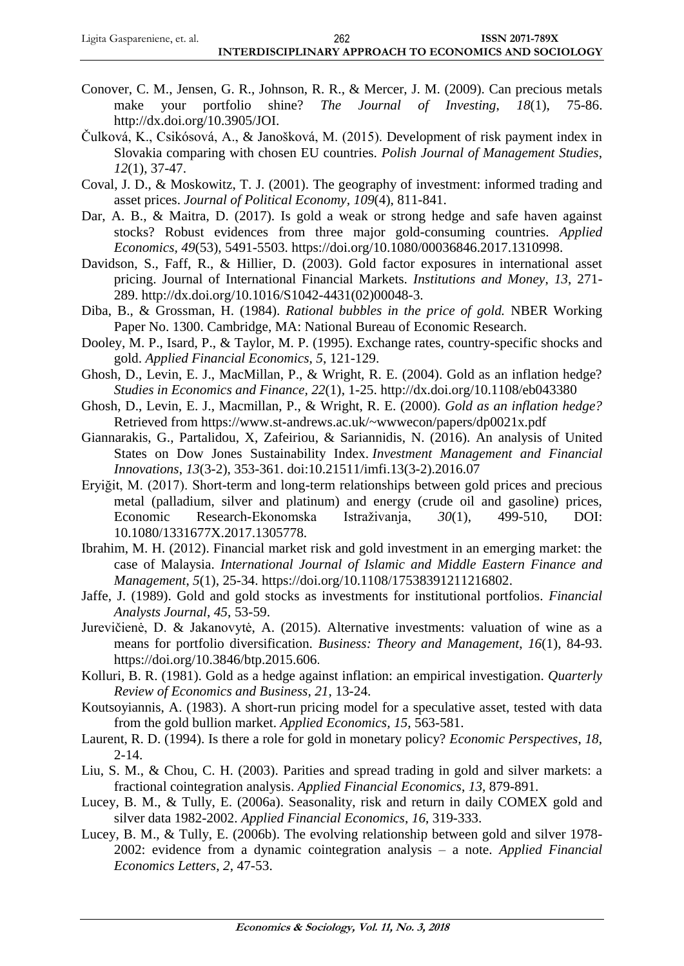- Conover, C. M., Jensen, G. R., Johnson, R. R., & Mercer, J. M. (2009). Can precious metals make your portfolio shine? *The Journal of Investing*, *18*(1), 75-86. [http://dx.doi.org/10.3905/JOI.](http://dx.doi.org/10.3905/JOI)
- Čulková, K., Csikósová, A., & Janošková, M. (2015). Development of risk payment index in Slovakia comparing with chosen EU countries. *Polish Journal of Management Studies*, *12*(1), 37-47.
- Coval, J. D., & Moskowitz, T. J. (2001). The geography of investment: informed trading and asset prices. *Journal of Political Economy, 109*(4), 811-841.
- Dar, A. B., & Maitra, D. (2017). Is gold a weak or strong hedge and safe haven against stocks? Robust evidences from three major gold-consuming countries. *Applied Economics, 49*(53), 5491-5503. https://doi.org/10.1080/00036846.2017.1310998.
- Davidson, S., Faff, R., & Hillier, D. (2003). Gold factor exposures in international asset pricing. Journal of International Financial Markets. *Institutions and Money*, *13*, 271- 289. [http://dx.doi.org/10.1016/S1042-4431\(02\)00048-3.](http://dx.doi.org/10.1016/S1042-4431(02)00048-3)
- Diba, B., & Grossman, H. (1984). *Rational bubbles in the price of gold.* NBER Working Paper No. 1300. Cambridge, MA: National Bureau of Economic Research.
- Dooley, M. P., Isard, P., & Taylor, M. P. (1995). Exchange rates, country-specific shocks and gold. *Applied Financial Economics*, *5*, 121-129.
- Ghosh, D., Levin, E. J., MacMillan, P., & Wright, R. E. (2004). Gold as an inflation hedge? *Studies in Economics and Finance, 22*(1), 1-25.<http://dx.doi.org/10.1108/eb043380>
- Ghosh, D., Levin, E. J., Macmillan, P., & Wright, R. E. (2000). *Gold as an inflation hedge?*  Retrieved from<https://www.st-andrews.ac.uk/~wwwecon/papers/dp0021x.pdf>
- Giannarakis, G., Partalidou, X, Zafeiriou, & Sariannidis, N. (2016). An analysis of United States on Dow Jones Sustainability Index. *Investment Management and Financial Innovations*, *13*(3-2), 353-361. doi:10.21511/imfi.13(3-2).2016.07
- Eryiğit, M. (2017). Short-term and long-term relationships between gold prices and precious metal (palladium, silver and platinum) and energy (crude oil and gasoline) prices, Economic Research-Ekonomska Istraživanja, *30*(1), 499-510, DOI: 10.1080/1331677X.2017.1305778.
- Ibrahim, M. H. (2012). Financial market risk and gold investment in an emerging market: the case of Malaysia. *International Journal of Islamic and Middle Eastern Finance and Management*, *5*(1), 25-34. [https://doi.org/10.1108/17538391211216802.](https://doi.org/10.1108/17538391211216802)
- Jaffe, J. (1989). Gold and gold stocks as investments for institutional portfolios. *Financial Analysts Journal*, *45*, 53-59.
- Jurevičienė, D. & Jakanovytė, A. (2015). Alternative investments: valuation of wine as a means for portfolio diversification. *Business: Theory and Management*, *16*(1), 84-93. https://doi.org[/10.3846/btp.2015.606](http://dx.doi.org/10.3846/btp.2015.606).
- Kolluri, B. R. (1981). Gold as a hedge against inflation: an empirical investigation. *Quarterly Review of Economics and Business*, *21*, 13-24.
- Koutsoyiannis, A. (1983). A short-run pricing model for a speculative asset, tested with data from the gold bullion market. *Applied Economics, 15*, 563-581.
- Laurent, R. D. (1994). Is there a role for gold in monetary policy? *Economic Perspectives*, *18*, 2-14.
- Liu, S. M., & Chou, C. H. (2003). Parities and spread trading in gold and silver markets: a fractional cointegration analysis. *Applied Financial Economics*, *13*, 879-891.
- Lucey, B. M., & Tully, E. (2006a). Seasonality, risk and return in daily COMEX gold and silver data 1982-2002. *Applied Financial Economics*, *16*, 319-333.
- Lucey, B. M., & Tully, E. (2006b). The evolving relationship between gold and silver 1978- 2002: evidence from a dynamic cointegration analysis – a note. *Applied Financial Economics Letters*, *2*, 47-53.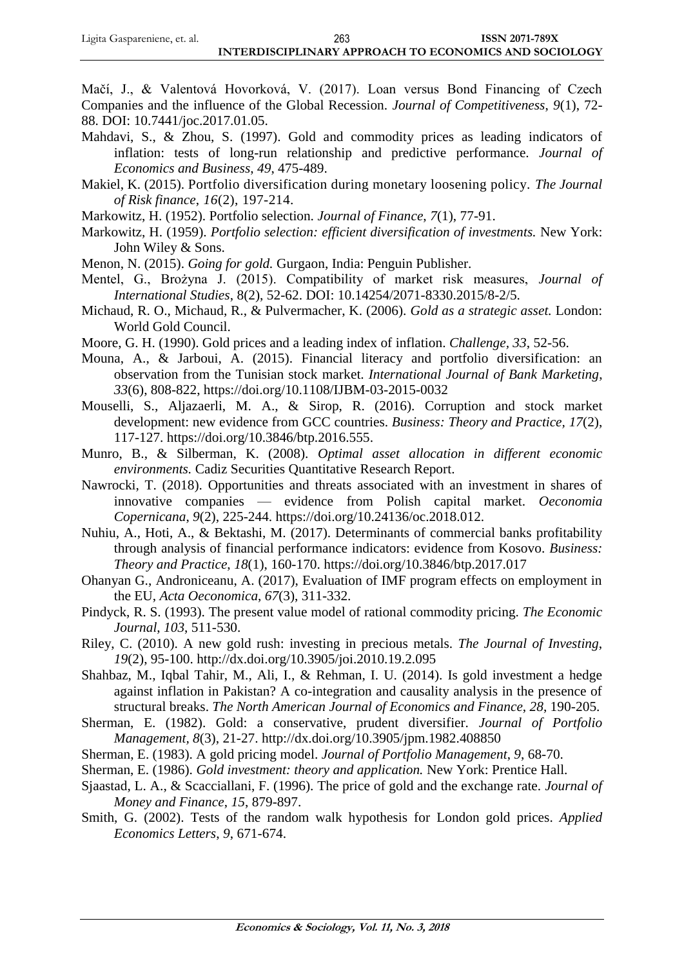Mačí, J., & Valentová Hovorková, V. (2017). Loan versus Bond Financing of Czech Companies and the influence of the Global Recession. *Journal of Competitiveness*, *9*(1), 72- 88. DOI: 10.7441/joc.2017.01.05.

- Mahdavi, S., & Zhou, S. (1997). Gold and commodity prices as leading indicators of inflation: tests of long-run relationship and predictive performance. *Journal of Economics and Business*, *49*, 475-489.
- Makiel, K. (2015). Portfolio diversification during monetary loosening policy. *The Journal of Risk finance*, *16*(2), 197-214.
- Markowitz, H. (1952). Portfolio selection. *Journal of Finance*, *7*(1), 77-91.
- Markowitz, H. (1959). *Portfolio selection: efficient diversification of investments.* New York: John Wiley & Sons.
- Menon, N. (2015). *Going for gold.* Gurgaon, India: Penguin Publisher.
- Mentel, G., Brożyna J. (2015). Compatibility of market risk measures, *Journal of International Studies*, 8(2), 52-62. DOI: 10.14254/2071-8330.2015/8-2/5.
- Michaud, R. O., Michaud, R., & Pulvermacher, K. (2006). *Gold as a strategic asset.* London: World Gold Council.
- Moore, G. H. (1990). Gold prices and a leading index of inflation. *Challenge, 33*, 52-56.
- Mouna, A., & Jarboui, A. (2015). Financial literacy and portfolio diversification: an observation from the Tunisian stock market. *International Journal of Bank Marketing*, *33*(6), 808-822, <https://doi.org/10.1108/IJBM-03-2015-0032>
- Mouselli, S., Aljazaerli, M. A., & Sirop, R. (2016). Corruption and stock market development: new evidence from GCC countries. *Business: Theory and Practice, 17*(2), 117-127. [https://doi.org/10.3846/btp.2016.555.](https://doi.org/10.3846/btp.2016.555)
- Munro, B., & Silberman, K. (2008). *Optimal asset allocation in different economic environments.* Cadiz Securities Quantitative Research Report.
- Nawrocki, T. (2018). Opportunities and threats associated with an investment in shares of innovative companies — evidence from Polish capital market. *Oeconomia Copernicana*, *9*(2), 225-244. https://doi.org/10.24136/oc.2018.012.
- Nuhiu, A., Hoti, A., & Bektashi, M. (2017). Determinants of commercial banks profitability through analysis of financial performance indicators: evidence from Kosovo. *Business: Theory and Practice*, *18*(1), 160-170.<https://doi.org/10.3846/btp.2017.017>
- Ohanyan G., Androniceanu, A. (2017), Evaluation of IMF program effects on employment in the EU, *Acta Oeconomica*, *67*(3), 311-332.
- Pindyck, R. S. (1993). The present value model of rational commodity pricing. *The Economic Journal*, *103*, 511-530.
- Riley, C. (2010). A new gold rush: investing in precious metals. *The Journal of Investing*, *19*(2), 95-100.<http://dx.doi.org/10.3905/joi.2010.19.2.095>
- Shahbaz, M., Iqbal Tahir, M., Ali, I., & Rehman, I. U. (2014). Is gold investment a hedge against inflation in Pakistan? A co-integration and causality analysis in the presence of structural breaks. *The North American Journal of Economics and Finance*, *28*, 190-205.
- Sherman, E. (1982). Gold: a conservative, prudent diversifier. *Journal of Portfolio Management, 8*(3), 21-27.<http://dx.doi.org/10.3905/jpm.1982.408850>
- Sherman, E. (1983). A gold pricing model. *Journal of Portfolio Management*, *9*, 68-70.
- Sherman, E. (1986). *Gold investment: theory and application.* New York: Prentice Hall.
- Sjaastad, L. A., & Scacciallani, F. (1996). The price of gold and the exchange rate. *Journal of Money and Finance*, *15*, 879-897.
- Smith, G. (2002). Tests of the random walk hypothesis for London gold prices. *Applied Economics Letters*, *9*, 671-674.